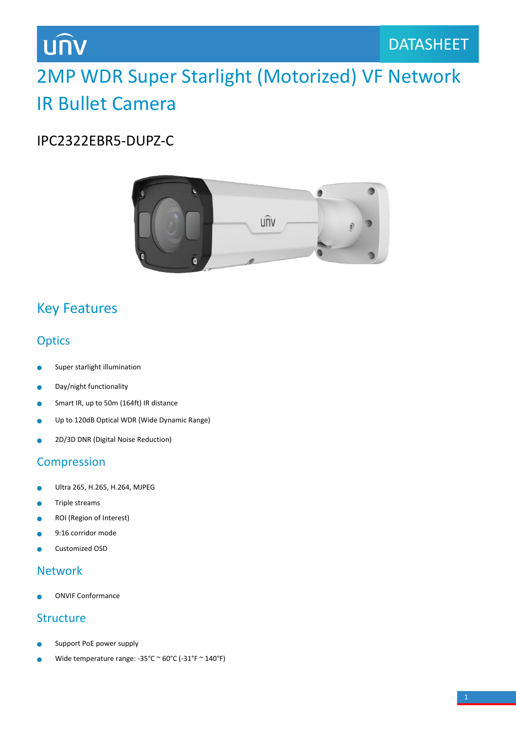# **UNV**

# 2MP WDR Super Starlight (Motorized) VF Network IR Bullet Camera

### IPC2322EBR5-DUPZ-C



## Key Features

### **Optics**

- Super starlight illumination
- Day/night functionality ò
- Smart IR, up to 50m (164ft) IR distance  $\bullet$
- Up to 120dB Optical WDR (Wide Dynamic Range) Ċ
- 2D/3D DNR (Digital Noise Reduction)

#### Compression

- Ultra 265, H.265, H.264, MJPEG ò
- Triple streams ä
- ROI (Region of Interest)
- 9:16 corridor mode
- Customized OSD

#### Network

ONVIF Conformance

#### Structure

- Support PoE power supply
- Wide temperature range: -35°C ~ 60°C (-31°F ~ 140°F)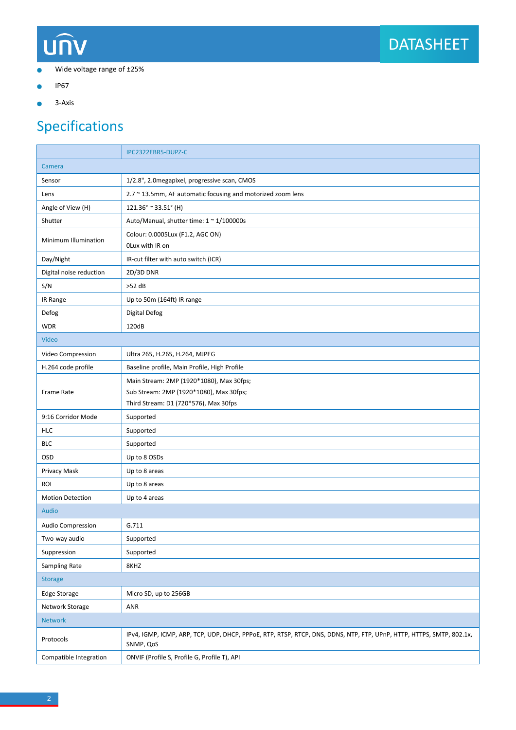# UNV



- Wide voltage range of ±25%  $\bullet$
- IP67  $\bullet$
- 3-Axis  $\bullet$

## Specifications

|                         | IPC2322EBR5-DUPZ-C                                                                                                                |
|-------------------------|-----------------------------------------------------------------------------------------------------------------------------------|
| Camera                  |                                                                                                                                   |
| Sensor                  | 1/2.8", 2.0 megapixel, progressive scan, CMOS                                                                                     |
| Lens                    | 2.7 ~ 13.5mm, AF automatic focusing and motorized zoom lens                                                                       |
| Angle of View (H)       | 121.36° ~ 33.51° (H)                                                                                                              |
| Shutter                 | Auto/Manual, shutter time: 1 ~ 1/100000s                                                                                          |
| Minimum Illumination    | Colour: 0.0005Lux (F1.2, AGC ON)<br>OLux with IR on                                                                               |
| Day/Night               | IR-cut filter with auto switch (ICR)                                                                                              |
| Digital noise reduction | 2D/3D DNR                                                                                                                         |
| S/N                     | $>52$ dB                                                                                                                          |
| IR Range                | Up to 50m (164ft) IR range                                                                                                        |
| Defog                   | <b>Digital Defog</b>                                                                                                              |
| <b>WDR</b>              | 120dB                                                                                                                             |
| Video                   |                                                                                                                                   |
| Video Compression       | Ultra 265, H.265, H.264, MJPEG                                                                                                    |
| H.264 code profile      | Baseline profile, Main Profile, High Profile                                                                                      |
| Frame Rate              | Main Stream: 2MP (1920*1080), Max 30fps;<br>Sub Stream: 2MP (1920*1080), Max 30fps;                                               |
|                         | Third Stream: D1 (720*576), Max 30fps                                                                                             |
| 9:16 Corridor Mode      | Supported                                                                                                                         |
| <b>HLC</b>              | Supported                                                                                                                         |
| <b>BLC</b>              | Supported                                                                                                                         |
| OSD                     | Up to 8 OSDs                                                                                                                      |
| Privacy Mask            | Up to 8 areas                                                                                                                     |
| <b>ROI</b>              | Up to 8 areas                                                                                                                     |
| <b>Motion Detection</b> | Up to 4 areas                                                                                                                     |
| <b>Audio</b>            |                                                                                                                                   |
| Audio Compression       | G.711                                                                                                                             |
| Two-way audio           | Supported                                                                                                                         |
| Suppression             | Supported                                                                                                                         |
| <b>Sampling Rate</b>    | 8KHZ                                                                                                                              |
| <b>Storage</b>          |                                                                                                                                   |
| Edge Storage            | Micro SD, up to 256GB                                                                                                             |
| Network Storage         | ANR                                                                                                                               |
| <b>Network</b>          |                                                                                                                                   |
| Protocols               | IPv4, IGMP, ICMP, ARP, TCP, UDP, DHCP, PPPoE, RTP, RTSP, RTCP, DNS, DDNS, NTP, FTP, UPnP, HTTP, HTTPS, SMTP, 802.1x,<br>SNMP, QoS |
| Compatible Integration  | ONVIF (Profile S, Profile G, Profile T), API                                                                                      |